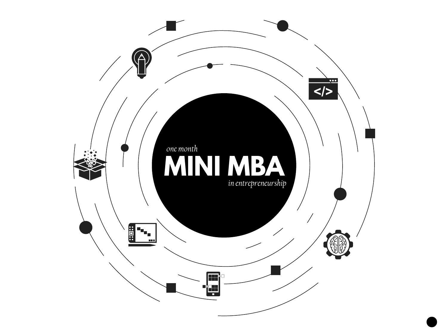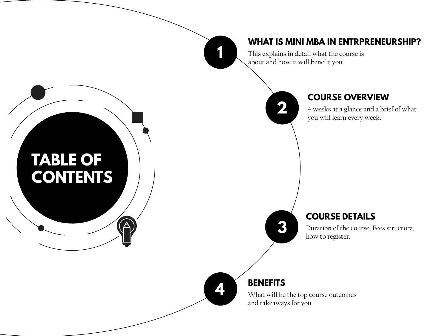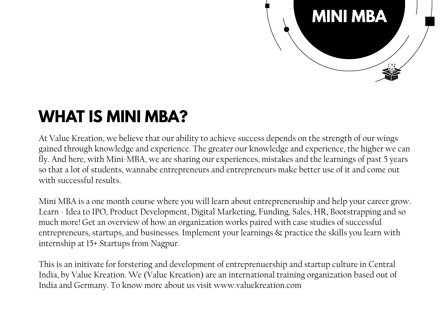

## **WHAT IS MINI MBA?**

At Value Kreation, we believe that our ability to achieve success depends on the strength of our wings gained through knowledge and experience. The greater our knowledge and experience, the higher we can fly. And here, with Mini-MBA, we are sharing our experiences, mistakes and the learnings of past 5 years so that a lot of students, wannabe entrepreneurs and entrepreneurs make better use of it and come out with successful results.

Mini MBA is a one month course where you will learn about entrepreneruship and help your career grow. Learn - Idea to IPO, Product Development, Digital Marketing, Funding, Sales, HR, Bootstrapping and so much more! Get an overview of how an organization works paired with case studies of successful entrepreneurs, startups, and businesses. Implement your learnings & practice the skills you learn with internship at 15+ Startups from Nagpur.

This is an initivate for forstering and development of entreprenuership and startup culture in Central India, by Value Kreation. We (Value Kreation) are an international training organization based out of India and Germany. To know more about us visit www.valuekreation.com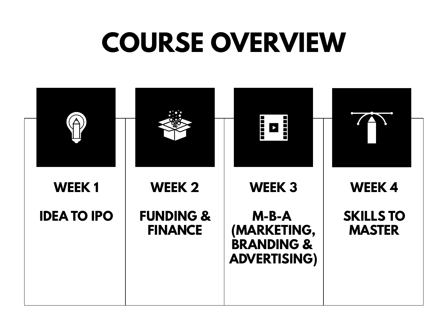## **COURSE OVERVIEW**

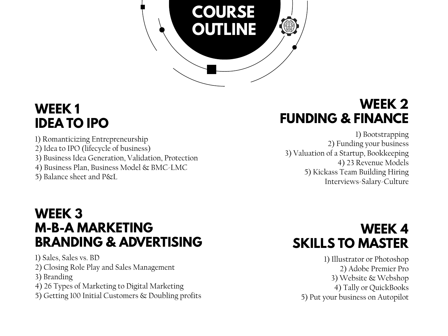

### **WEEK 1 IDEA TO IPO**

1) Romanticizing Entrepreneurship 2) Idea to IPO (lifecycle of business) 3) Business Idea Generation, Validation, Protection 4) Business Plan, Business Model & BMC-LMC 5) Balance sheet and P&L

### **WEEK 2 FUNDING & FINANCE**

1) Bootstrapping 2) Funding your business 3) Valuation of a Startup, Bookkeeping 4) 23 Revenue Models 5) Kickass Team Building Hiring Interviews-Salary-Culture

#### **WEEK 3 M-B-A MARKETING BRANDING & ADVERTISING**

1) Sales, Sales vs. BD

2) Closing Role Play and Sales Management

- 3) Branding
- 4) 26 Types of Marketing to Digital Marketing
- 5) Getting 100 Initial Customers & Doubling profits

### **WEEK 4 SKILLS TO MASTER**

1) Illustrator or Photoshop 2) Adobe Premier Pro 3) Website & Webshop 4) Tally or QuickBooks 5) Put your business on Autopilot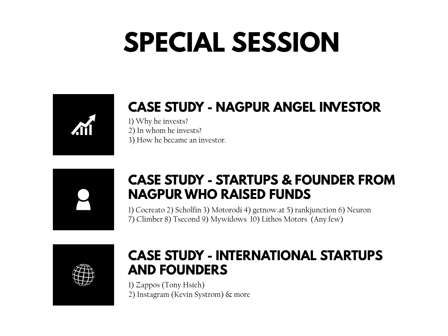## **SPECIAL SESSION**



## **CASE STUDY - NAGPUR ANGEL INVESTOR**

1) Why he invests? 2) In whom he invests? 3) How he became an investor.



#### **CASE STUDY - STARTUPS & FOUNDER FROM NAGPUR WHO RAISED FUNDS**

1) Cocreato 2) Scholfin 3) Motorodi 4) getnow.at 5) rankjunction 6) Neuron 7) Climber 8) Tsecond 9) Mywidows 10) Lithos Motors (Any few)



#### **CASE STUDY - INTERNATIONAL STARTUPS AND FOUNDERS**

1) Zappos (Tony Hsieh) 2) Instagram (Kevin Systrom) & more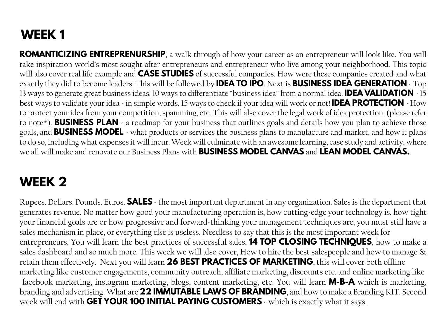## **WEEK 1**

**ROMANTICIZING ENTREPRENURSHIP,** a walk through of how your career as an entrepreneur will look like. You will take inspiration world's most sought after entrepreneurs and entrepreneur who live among your neighborhood. This topic will also cover real life example and **CASE STUDIES** of successful companies. How were these companies created and what exactly they did to become leaders. This will be followed by **IDEA TO IPO**. Next is **BUSINESS IDEA GENERATION** - Top 13 ways to generate great business ideas! 10 ways to differentiate "business idea" from a normal idea. **IDEA VALIDATION** - 15 best ways to validate your idea - in simple words, 15 ways to check if your idea will work or not! **IDEA PROTECTION** - How to protect your idea from your competition, spamming, etc. This will also cover the legal work of idea protection. (please refer to note\*). **BUSINESS PLAN** - a roadmap for your business that outlines goals and details how you plan to achieve those goals, and **BUSINESS MODEL** - what products or services the business plans to manufacture and market, and how it plans to do so, including what expensesit will incur.Week will culminate with an awesome learning, case study and activity, where we all will make and renovate our Business Plans with **BUSINESS MODEL CANVAS** and **LEAN MODEL CANVAS.**

### **WEEK 2**

Rupees. Dollars. Pounds. Euros. **SALES** - the most important department in any organization. Salesisthe department that generates revenue. No matter how good your manufacturing operation is, how cutting-edge your technology is, how tight your financial goals are or how progressive and forward-thinking your management techniques are, you must still have a sales mechanism in place, or everything else is useless. Needless to say that this is the most important week for entrepreneurs, You will learn the best practices of successful sales, **14 TOP CLOSING TECHNIQUES**, how to make a sales dashboard and so much more. This week we will also cover, How to hire the best salespeople and how to manage & retain them effectively. Next you will learn **26 BEST PRACTICES OF MARKETING**, this will cover both offline marketing like customer engagements, community outreach, affiliate marketing, discounts etc. and online marketing like facebook marketing, instagram marketing, blogs, content marketing, etc. You will learn **M-B-A** which is marketing, branding and advertising.What are **22 IMMUTABLE LAWS OF BRANDING**, and how to make a Branding KIT. Second week will end with **GET YOUR 100 INITIAL PAYING CUSTOMERS** - which is exactly what it says.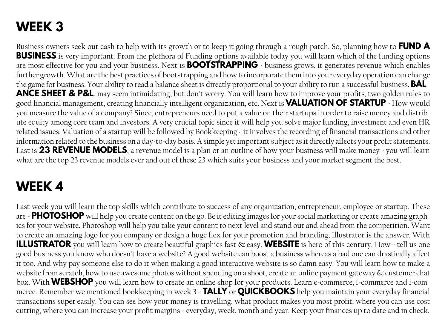## **WEEK 3**

Business owners seek out cash to help with its growth or to keep it going through a rough patch. So, planning how to **FUND A BUSINESS** is very important. From the plethora of Funding options available today you will learn which of the funding options are most effective for you and your business. Next is **BOOTSTRAPPING** - business grows, it generates revenue which enables further growth.What are the best practices of bootstrapping and how to incorporate them into your everyday operation can change the game for business. Your ability to read a balance sheet is directly proportional to your ability to run a successful business. **BAL ANCE SHEET & P&L**, may seem intimidating, but don't worry. You will learn how to improve your profits, two golden rules to good financial management, creating financially intelligent organization, etc. Next is **VALUATION OF STARTUP** - How would you measure the value of a company? Since, entrepreneurs need to put a value on their startups in order to raise money and distrib ute equity among core team and investors. A very crucial topic since it will help you solve major funding, investment and even HR related issues. Valuation of a startup will be followed by Bookkeeping - it involves the recording of financial transactions and other information related to the business on a day-to-day basis. A simple yet important subject as it directly affects your profit statements. Last is **23 REVENUE MODELS**, a revenue model is a plan or an outline of how your business will make money - you will learn what are the top 23 revenue models ever and out of these 23 which suits your business and your market segment the best.

## **WEEK 4**

Last week you will learn the top skills which contribute to success of any organization, entrepreneur, employee or startup. These are - **PHOTOSHOP** will help you create content on the go. Be it editing images for your social marketing or create amazing graph ics for your website. Photoshop will help you take your content to next level and stand out and ahead from the competition. Want to create an amazing logo for you company or design a huge flex for your promotion and branding, Illustrator is the answer. With **ILLUSTRATOR** you will learn how to create beautiful graphics fast & easy. **WEBSITE** is hero of this century. How - tell us one good business you know who doesn't have a website? A good website can boost a business whereas a bad one can drastically affect it too. And why pay someone else to do it when making a good interactive website is so damn easy. You will learn how to make a website from scratch, how to use awesome photos without spending on a shoot, create an online payment gateway & customer chat box. With **WEBSHOP** you will learn how to create an online shop for your products. Learn e-commerce, f-commerce and i-com merce. Remember we mentioned bookkeeping in week 3 - **TALLY** or **QUICKBOOKS** help you maintain your everyday financial transactions super easily. You can see how your money is travelling, what product makes you most profit, where you can use cost cutting, where you can increase your profit margins - everyday, week, month and year. Keep your finances up to date and in check.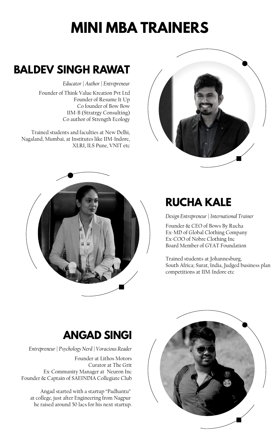## **RUCHA KALE**

*Design Entrepreneur | International Trainer*

Founder & CEO of Bows By Rucha Ex-MD of Global Clothing Company Ex-COO of Nobre Clothing Inc Board Member of GYAT Foundation

Trained students at Johannesburg, South Africa; Surat, India, Judged business plan competitions at IIM-Indore etc



## **BALDEV SINGH RAWAT**

*Educator | Author | Entrepreneur*

Founder of Think Value Kreation Pvt Ltd Founder of Resume It Up Co founder of Bow Bow IIM-B (Stratrgy Consulting) Co author of Strength Ecology

Trained students and faculties at New Delhi, Nagaland, Mumbai, at Institutes like IIM-Indore, XLRI, ILS Pune, VNIT etc





## **ANGAD SINGI**

*Entrepreneur | Psychology Nerd | Voracious Reader*

Founder at Lithos Motors Curator at The Grit Ex-Community Manager at Neuron Inc Founder & Captain of SAEINDIA Collegiate Club

Angad started with a startup "Padhantu" at college, just after Engineering from Nagpur he raised around 50 lacs for his next startup.

## **MINI MBA TRAINERS**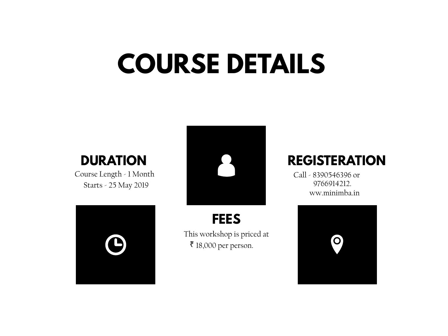## **COURSE DETAILS**

## **DURATION**

Course Length - 1 Month Starts - 25 May 2019





**FEES**

This workshop is priced at ₹ 18,000 per person.

## **REGISTERATION**

9766914212. ww.minimba.in Call - 8390546396 or

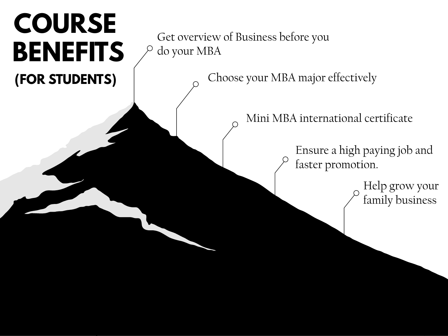## **COURSE BENEFITS (FOR STUDENTS)**

Get overview of Business before you do your MBA

Choose your MBA major effectively

Mini MBA international certificate

Ensure a high paying job and faster promotion.

> Help grow your family business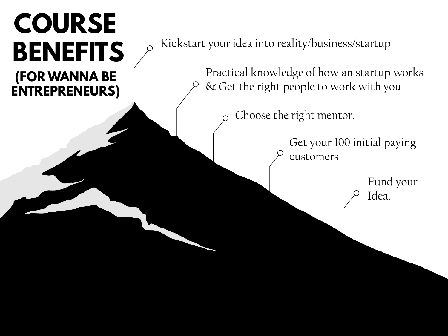## **(FOR WANNA BE ENTREPRENEURS) COURSE**

**BENEFITS**  $\beta$ <sup>Kickstart your idea into reality/business/startup</sup>

Practical knowledge of how an startup works & Get the right people to work with you

Choose the right mentor.

Get your 100 initial paying customers

> Fund your Idea.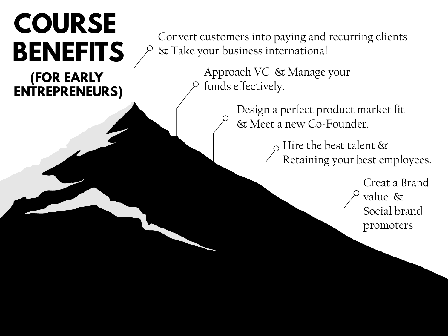# **(FOR EARLY COURSE**

**ENTREPRENEURS)**

**BENEFITS**  $\varphi$  & Take your business international & Take your business international

> Approach VC & Manage your funds effectively.

> > Design a perfect product market fit & Meet a new Co-Founder.

> > > Hire the best talent & Retaining your best employees.

> > > > Creat a Brand value & Social brand promoters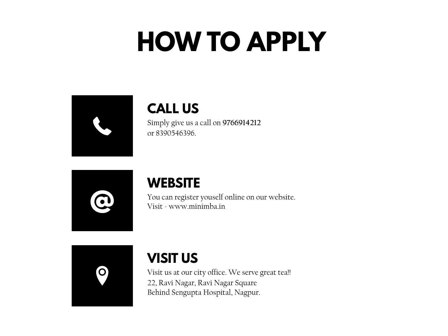## **HOW TO APPLY**

|--|

### **CALL US**

Simply give us a call on **9766914212** or 8390546396.

|  | 7<br>$\mathbf C$ |  |
|--|------------------|--|
|  |                  |  |

#### **WEBSITE**

You can register youself online on our website.<br>Visit - www.minimba.in

 $\Omega$ 

### **VISIT US**

Visit us at our city office. We serve great tea!! 22, Ravi Nagar, Ravi Nagar Square Behind Sengupta Hospital, Nagpur.